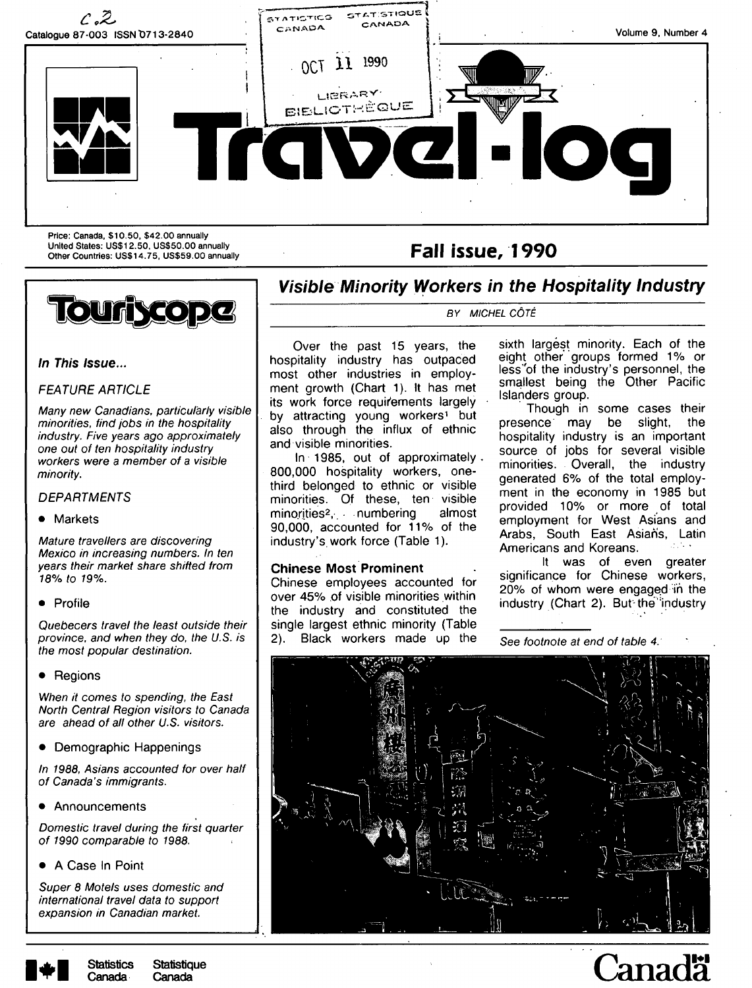

Price: Canada, \$10.50, \$42.00 annually United States: US\$12.50, US\$50.00 annually United States: US\$12.50, US\$59.00 annually<br>Other Countries: US\$14.75, US\$59.00 annually **Fall Issue, 1990** 

**Touriscope** 



Visible Minority Workers in the Hospitality Industry

BY MICHEL CÔTÉ

**In This Issue...** 

# FEATURE ARTICLE

Many new Canadians, particularly visible minorities, find jobs in the hospitality industry. Five years ago approximately one out of ten hospitality industry workers were a member of a visible minority.

## **DEPARTMENTS**

### • Markets

Mature travellers are discovering Mexico in increasing numbers. In ten years their market share shifted from 18% to 19%.

• Profile

Quebecers travel the least outside their province, and when they do, the U.S. is the most popular destination.

• Regions

When it comes to spending, the East North Central Region visitors to Canada are ahead of all other U.S. visitors.

• Demographic Happenings

In 1988, Asians accounted for over half of Canada's immigrants.

• Announcements

Domestic travel during the first quarter of 1990 comparable to 1988.

• A Case In Point

Super 8 Motels uses domestic and international travel data to support expansion in Canadian market.

Over the past 15 years, the hospitality industry has outpaced most other industries in employment growth (Chart 1). It has met its work force requirements largely by attracting young workers<sup>1</sup> but also through the influx of ethnic and visible minorities.

In 1985, out of approximately. 800,000 hospitality workers, onethird belonged to ethnic or visible minorities. Of these, ten visible minorities<sup>2</sup>, numbering almost 90,000, accounted for 11% of the industry's, work force (Table 1).

### **Chinese Most Prominent**

Chinese employees accounted for over 45% .of visible minorities within the industry and constituted the single largest ethnic minority (Table 2). Black workers made up the sixth largest minority. Each of the eight other groups formed 1% or less'of the industry's personnel, the smallest being the Other Pacific Islanders group.

Though in some cases their presence may be slight, the hospitality industry is an important source of jobs for several visible minorities. Overall, the industry generated 6% of the total employment in the economy in 1985 but provided 10% or more of total employment for West Asians and Arabs, South East Asian's, Latin Americans and Koreans.

It was of even greater significance for Chinese workers, 20% of whom were engaged in the industry (Chart 2). But-the'industry

See footnote at end of table 4:





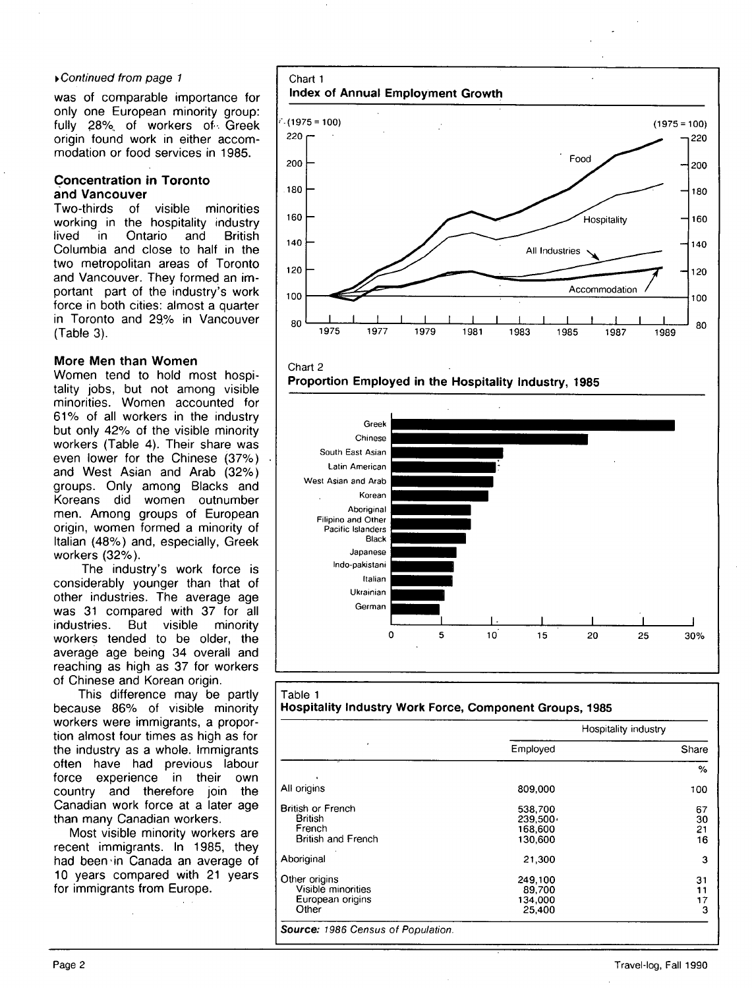### ^Continued from page 1

was of comparable importance for only one European minority group: fully 28%, of workers of. Greek origin found work in either accommodation or food services in 1985.

### **Concentration in Toronto and Vancouver**

Two-thirds of visible minorities working in the hospitality industry<br>lived in Ontario and British in Ontario Columbia and close to half in the two metropolitan areas of Toronto and Vancouver. They formed an important part of the industry's work force in both cities: almost a quarter in Toronto and 29% in Vancouver (Table 3).

# **More Men than Women**

Women tend to hold most hospitality jobs, but not among visible minorities. Women accounted for 61% of all workers in the industry but only 42% of the visible minority workers (Table 4). Their share was even lower for the Chinese (37%) and West Asian and Arab (32%) groups. Only among Blacks and Koreans did women outnumber men. Among groups of European origin, women formed a minority of Italian (48%) and, especially, Greek workers (32%).

The industry's work force is considerably younger than that of other industries. The average age was 31 compared with 37 for all industries. But visible minority workers tended to be older, the average age being 34 overall and reaching as high as 37 for workers of Chinese and Korean origin.

This difference may be partly because 86% of visible minority workers were immigrants, a proportion almost four times as high as for the industry as a whole. Immigrants often have had previous labour force experience in their own country and therefore join the Canadian work force at a later age than many Canadian workers.

Most visible minority workers are recent immigrants. In 1985, they had been in Canada an average of 10 years compared with 21 years for immigrants from Europe.







|                                                                            |                                                  | Hospitality industry |
|----------------------------------------------------------------------------|--------------------------------------------------|----------------------|
| ٠                                                                          | Employed                                         | Share                |
|                                                                            |                                                  | $\%$                 |
| All origins                                                                | 809,000                                          | 100                  |
| British or French<br><b>British</b><br>French<br><b>British and French</b> | 538,700<br>$239.500 \cdot$<br>168,600<br>130.600 | 67<br>30<br>21<br>16 |
| Aboriginal                                                                 | 21,300                                           | з                    |
| Other origins<br>Visible minorities<br>European origins<br>Other           | 249,100<br>89,700<br>134.000<br>25,400           | 31<br>11<br>17<br>3  |

#### Page 2 Travel-log, Fall 1990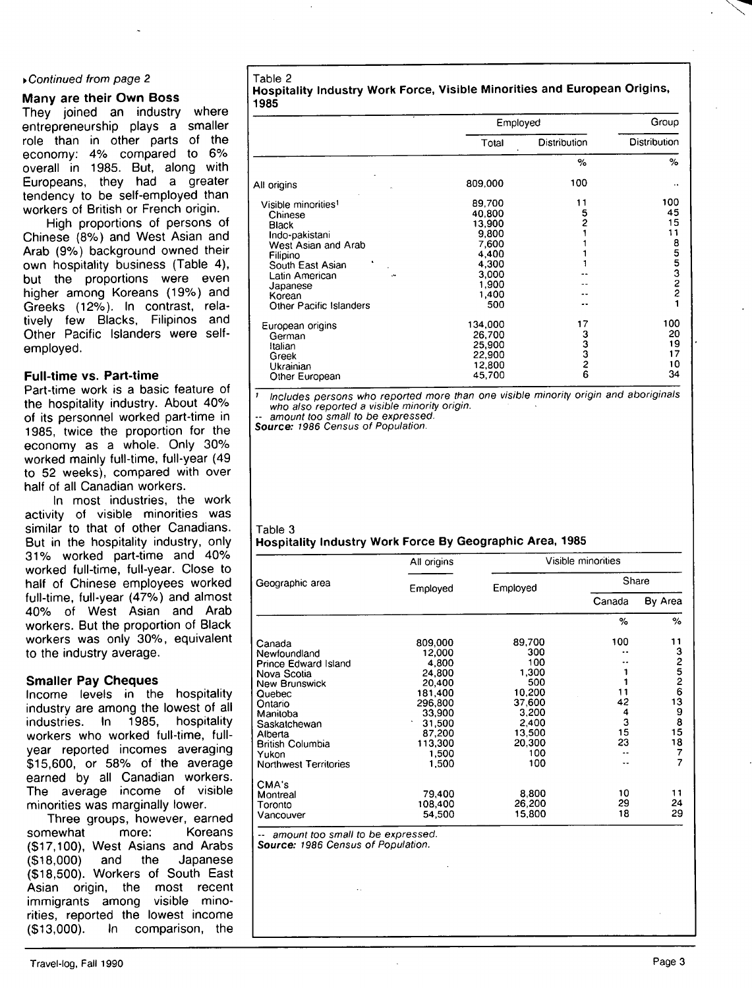### ^Continued from page 2

# **Many are their Own Boss**

They joined an industry where entrepreneurship plays a smaller role than in other parts of the economy: 4% compared to 6% overall in 1985. But, along with Europeans, they had a greater tendency to be self-employed than workers of British or French origin.

High proportions of persons of Chinese (8%) and West Asian and Arab (9%) background owned their own hospitality business (Table 4), but the proportions were even higher among Koreans (19%) and Greeks (12%). In contrast, relatively few Blacks, Filipinos and Other Pacific Islanders were selfemployed.

### **Full-time vs. Part-time**

Part-time work is a basic feature of the hospitality industry. About 40% of its personnel worked part-time in 1985, twice the proportion for the economy as a whole. Only 30% worked mainly full-time, full-year (49 to 52 weeks), compared with over half of all Canadian workers.

In most industries, the work activity of visible minorities was similar to that of other Canadians. But in the hospitality industry, only 3 1% worked part-time and 40% worked full-time, full-year. Close to half of Chinese employees worked full-time, full-year (47%) and almost 40% of West Asian and Arab workers. But the proportion of Black workers was only 30%, equivalent to the industry average.

### **Smaller Pay Cheques**

Income levels in the hospitality industry are among the lowest of all industries. In 1985, hospitality workers who worked full-time, fullyear reported incomes averaging \$15,600, or 58% of the average earned by all Canadian workers. The average income of visible minorities was marginally lower.

Three groups, however, earned somewhat more: Koreans (\$17,100), West Asians and Arabs (\$18,000) and the Japanese (\$18,500). Workers of South East Asian origin, the most recent immigrants among visible minorities, reported the lowest income (\$13,000). In comparison, the

Table 2 **Hospitality Industry Work Force, Visible Minorities and European Origins, 1985** 

|                                                                                                                                                                                                              |                                                                                                  | Employed                    |                                   |  |
|--------------------------------------------------------------------------------------------------------------------------------------------------------------------------------------------------------------|--------------------------------------------------------------------------------------------------|-----------------------------|-----------------------------------|--|
|                                                                                                                                                                                                              | Total                                                                                            | Distribution                | Distribution                      |  |
|                                                                                                                                                                                                              |                                                                                                  | %                           | $\%$                              |  |
| All origins                                                                                                                                                                                                  | 809,000                                                                                          | 100                         |                                   |  |
| Visible minorities <sup>1</sup><br>Chinese<br><b>Black</b><br>Indo-pakistani<br>West Asian and Arab<br>Filipino<br>South East Asian<br>Latin American<br>۰.<br>Japanese<br>Korean<br>Other Pacific Islanders | 89,700<br>40,800<br>13,900<br>9,800<br>7,600<br>4,400<br>4,300<br>3,000<br>1,900<br>1,400<br>500 | 11<br>5<br>2                | 100<br>45<br>15<br>11<br>855322   |  |
| European origins<br>German<br>Italian<br>Greek<br>Ukrainian<br>Other European                                                                                                                                | 134,000<br>26,700<br>25.900<br>22,900<br>12,800<br>45,700                                        | 17<br>з<br>3<br>2<br>2<br>6 | 100<br>20<br>19<br>17<br>10<br>34 |  |

' Includes persons who reported more than one visible minority origin and aboriginals who also reported a visible minority origin.

-- amount too small to be expressed.<br>**Source:** 1986 Census of Population.

# Table 3 **Hospitality Industry Work Force By Geographic Area, 1985**

|                              | All origins |          | Visible minorities |         |
|------------------------------|-------------|----------|--------------------|---------|
| Geographic area              | Employed    | Employed | Share              |         |
|                              |             |          | Canada             | By Area |
|                              |             |          | %                  | %       |
| Canada                       | 809.000     | 89,700   | 100                | 11      |
| Newfoundland                 | 12,000      | 300      |                    |         |
| Prince Edward Island         | 4.800       | 100      |                    | 32526   |
| Nova Scotia                  | 24,800      | 1,300    |                    |         |
| <b>New Brunswick</b>         | 20,400      | 500      |                    |         |
| Quebec                       | 181,400     | 10,200   | 11                 |         |
| Ontario                      | 296,800     | 37,600   | 42                 | 13      |
| Manitoba                     | 33,900      | 3,200    | 4                  | 9       |
| Saskatchewan                 | 31.500      | 2,400    | 3                  | 8       |
| Alberta                      | 87,200      | 13,500   | 15                 | 15      |
| <b>British Columbia</b>      | 113,300     | 20.300   | 23                 | 18      |
| Yukon                        | 1.500       | 100      |                    | 7       |
| <b>Northwest Territories</b> | 1,500       | 100      |                    | 7       |
| CMA's                        |             |          |                    |         |
| Montreal                     | 79,400      | 8.800    | 10                 | 11      |
| Toronto                      | 108.400     | 26,200   | 29                 | 24      |
| Vancouver                    | 54,500      | 15,800   | 18                 | 29      |

-- amount too small to be expressed. **Source:** 1986 Census of Population.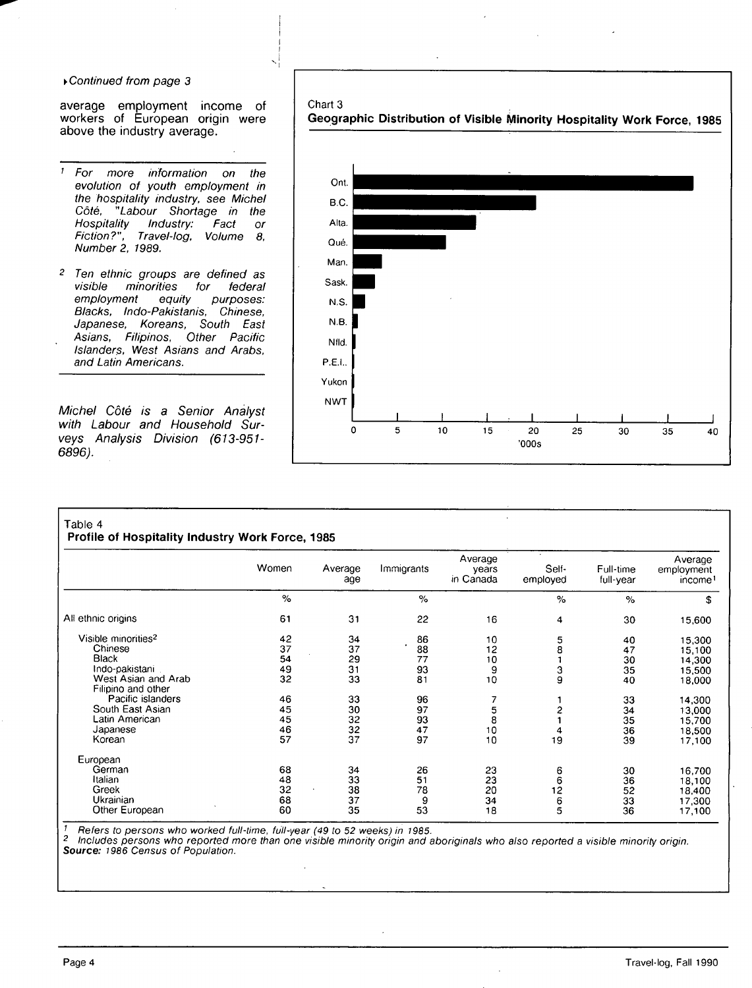### y Continued from page 3

average employment income of workers of European origin were above the industry average.

- ' For more information on the evolution of youth employment in the hospitality industry, see Michel Côté, "Labour Shortage in the Hospitality Industry: Fact or Fiction?", Travel-log, Volume 8, Number 2, 1989.
- <sup>2</sup> Ten ethnic groups are defined as<br>visible minorities for federal for federal employment equity purposes: Blacks, Indo-Pakistanis, Chinese, Japanese, Koreans, South East Asians, Filipinos, Other Pacific Islanders, West Asians and Arabs, and Latin Americans.

Michel Côté is a Senior Analyst with Labour and Household Surveys Analysis Division (613-951- 6896).

#### Chart 3

**Geographic Distribution of Visible Minority Hospitality Work Force, 1985** 



## Table 4

**Profile of Hospitality Industry Work Force, 1985** 

|                                 | Women | Average<br>age | Immigrants | Average<br>years<br>in Canada | Self-<br>employed | Full-time<br>full-year | Average<br>employment<br>income <sup>1</sup> |
|---------------------------------|-------|----------------|------------|-------------------------------|-------------------|------------------------|----------------------------------------------|
|                                 | %     |                | %          |                               | $\%$              | $\%$                   | \$                                           |
| All ethnic origins              | 61    | 31             | 22         | 16                            | 4                 | 30                     | 15,600                                       |
| Visible minorities <sup>2</sup> | 42    | 34             | 86         | 10                            |                   | 40                     | 15,300                                       |
| Chinese                         | 37    | 37             | 88         | 12                            | $\frac{5}{8}$     | 47                     | 15,100                                       |
| Black                           | 54    | 29             | 77         | 10                            |                   | 30                     | 14,300                                       |
| Indo-pakistani                  | 49    | 31             | 93         | 9                             | з                 | 35                     | 15,500                                       |
| West Asian and Arab             | 32    | 33             | 81         | 10                            | 9                 | 40                     | 18,000                                       |
| Filipino and other              |       |                |            |                               |                   |                        |                                              |
| Pacific islanders               | 46    | 33             | 96         |                               |                   | 33                     | 14,300                                       |
| South East Asian                | 45    | 30             | 97         | 5                             | 2                 | 34                     | 13,000                                       |
| Latin American                  | 45    | 32             | 93         | 8                             |                   | 35                     | 15,700                                       |
| Japanese                        | 46    | 32             | 47         | 10                            |                   | 36                     | 18,500                                       |
| Korean                          | 57    | 37             | 97         | 10                            | 19                | 39                     | 17,100                                       |
| European                        |       |                |            |                               |                   |                        |                                              |
| German                          | 68    | 34             | 26         | 23                            | 6                 | 30                     | 16,700                                       |
| Italian                         | 48    | 33             | 51         | 23                            | 6                 | 36                     | 18,100                                       |
| Greek                           | 32    | 38             | 78         | 20                            | 12                | 52                     | 18,400                                       |
| Ukrainian                       | 68    | 37             | 9          | 34                            |                   | 33                     | 17,300                                       |
| Other European                  | 60    | 35             | 53         | 18                            | 6<br>5            | 36                     | 17,100                                       |

 $\frac{1}{2}$  Refers to persons who worked full-time, full-year (49 to 52 weeks) in 1985.

<sup>2</sup> Includes persons who reported more than one visible minority origin and aboriginals who also reported a visible minority origin. **Source:** 1986 Census of Population.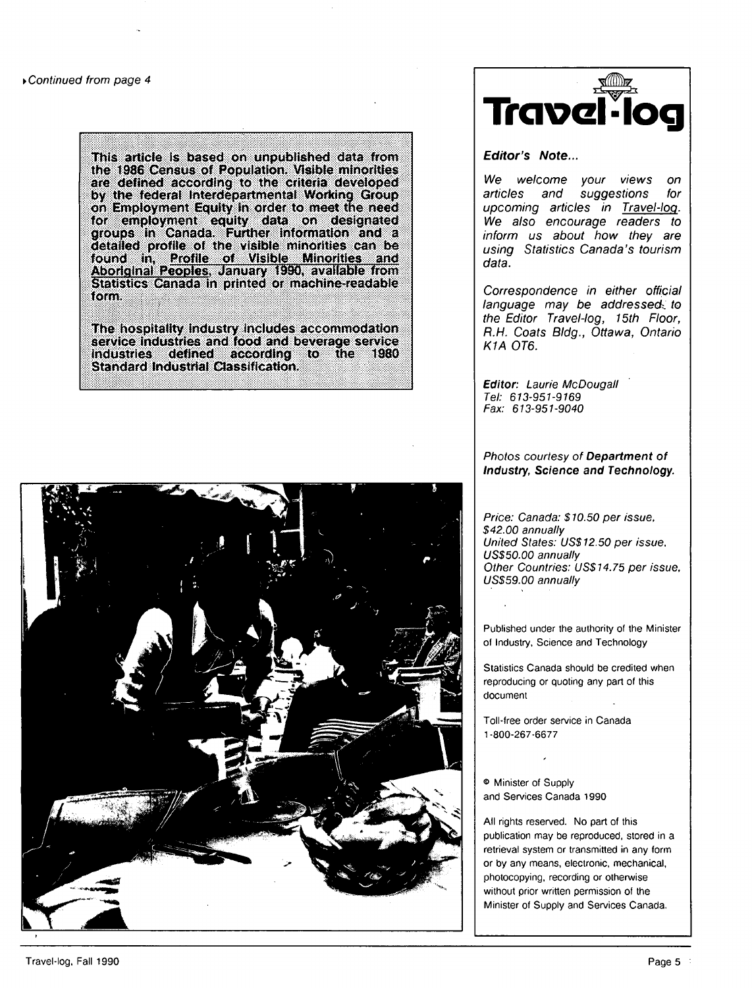This article Is based on unpublished data from the 1986 Census of Population. Visible minorities are defined according to the criteria developed by the federal Interdepartmental Working Group on Employment Equity In order to meet the need for employment equity data on designated groups in Canada. Further Information and a detailed profile of the visible minorities can be found in, Profile of Visible Minorities and Aboriginal Peoples. January 1990, available from Statistics Canada in printed or machine-readable form.

The hospitality Industry includes accommodation service industries and food and beverage service Industries defined according to the 1980 Standard Industrial Classification,





**Editor's Note...** 

We welcome your views on<br>articles and suggestions for suggestions upcoming articles in Travel-log. We also encourage readers to inform us about how they are using Statistics Canada's tourism data.

Correspondence in either official language may be addressed. to the Editor Travel-log, 15th Floor, R.H. Coats BIdg., Ottawa, Ontario K1A 0T6.

**Editor:** Laurie McDougall Tel: 613-951-9169 Fax: 613-951-9040

### Photos courtesy of **Department of Industry, Science and Technology.**

Price: Canada: \$10.50 per issue, \$42.00 annually United States: US\$12.50 per issue. US\$50.00 annually Other Countries: US\$14.75 per issue, US\$59.00 annually

Published under the authority of the Minister of Industry, Science and Technology

Statistics Canada should be credited when reproducing or quoting any part of this document

Toll-free order service in Canada 1-800-267-6677

® Minister of Supply and Services Canada 1990

All rights reserved. No part of this publication may be reproduced, stored in a retrieval system or transmitted in any form or by any means, electronic, mechanical, photocopying, recording or otherwise without prior written permission of the Minister of Supply and Services Canada.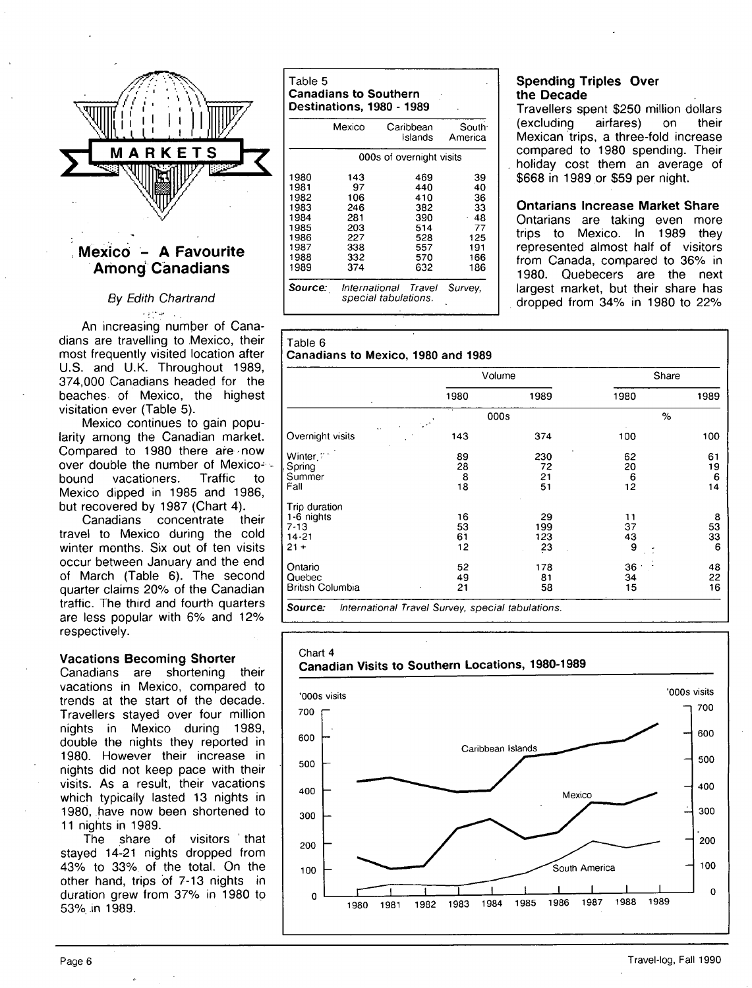

# **; Mexico - A Favourite Arhong' Canadians**

# By Edith Chartrand

An increasing number of Canadians are travelling to Mexico, their most frequently visited location after U.S. and U.K. Throughout 1989, 374,000 Canadians headed for the beaches of Mexico, the highest visitation ever (Table 5).

Mexico continues to gain popularity among the Canadian market. Compared to 1980 there are now over double the number of Mexico-<br>bound vacationers. Traffic to bound vacationers. Traffic to Mexico dipped in 1985 and 1986, but recovered by 1987 (Chart 4).

Canadians concentrate their travel to Mexico during the cold winter months. Six out of ten visits occur between January and the end of March (Table 6). The second quarter claims 20% of the Canadian traffic. The third and fourth quarters are less popular with 6% and 12% respectively.

### **Vacations Becoming Shorter**

Canadians are shortening their vacations in Mexico, compared to trends at the start of the decade. Travellers stayed over four million nights in Mexico during 1989, double the nights they reported in 1980. However their increase in nights did not keep pace with their visits. As a result, their vacations which typically lasted 13 nights in 1980, have now been shortened to 11 nights in 1989.

The share of visitors ' that stayed 14-21 nights dropped from 43% to 33% of the total. On the other hand, trips of 7-13 nights in duration grew from 37% in 1980 to 53% in 1989.

### Table 5 **Canadians to Southern Destinations , 198 0** - **1989**

|                                                                              | Mexico                                                            | Caribbean<br>Islands                                               | South <sup>-</sup><br>America                                |  |  |  |
|------------------------------------------------------------------------------|-------------------------------------------------------------------|--------------------------------------------------------------------|--------------------------------------------------------------|--|--|--|
| 000s of overnight visits                                                     |                                                                   |                                                                    |                                                              |  |  |  |
| 1980<br>1981<br>1982<br>1983<br>1984<br>1985<br>1986<br>1987<br>1988<br>1989 | 143<br>97<br>106<br>246<br>281<br>203<br>227<br>338<br>332<br>374 | 469<br>440<br>410<br>382<br>390<br>514<br>528<br>557<br>570<br>632 | 39<br>40<br>36<br>33<br>48<br>77<br>125<br>191<br>166<br>186 |  |  |  |
| Source:                                                                      |                                                                   | International Travel<br>special tabulations.                       | Survey,                                                      |  |  |  |

Table 6

# **Spending Triples Over the Decade**

Travellers spent \$250 million dollars (excluding airfares) on their Mexican trips, a three-fold increase compared to 1980 spending. Their holiday cost them an average of \$668 in 1989 or \$59 per night.

**Ontarians Increase Market Share**  Ontarians are taking even more trips to Mexico. In 1989 they represented almost half of visitors from Canada, compared to 36% in 1980. Quebecers are the next largest market, but their share has dropped from 34% in 1980 to 22%

#### **Canadian s to Mexico , 198 0 an d 198 9**  Overnight visits Winter. **F**<sup>+</sup> , Spring **Summer** Fall Trip duration 1 -6 nights 7-13 14-21  $21 +$ Ontario **Quebec** British Columbia 1980 143 89 28 8 18 16 53 61 12 52 49 21 Volume OOOs 1989 374 230 72 21 51 29 199 123 23 178 81 58 1980 100 62 20 6 12 11 37 43 9 36 34 15 Share **%**  1989 100 61 19 6 14 8 53 33 6 48 22 16 **Source:** International Travel Survey, special tabulations.

Chart 4 **Canadia n Visits t o Souther n Locations , 1980-198 9**  'OOOs visits 700 600 500 400 300 200 100  $\overline{0}$ Caribbean Islands **Mexico**  $\curvearrowright \qquad \nearrow$ **/ ^—-^^**  South America I - " 1 1 1 1 1 1 1 1 1980 1981 1982 1983 1984 1985 1986 1987 1988 'OOOs visits 1 1989 700 600 500 400 300 200 100

 $\Omega$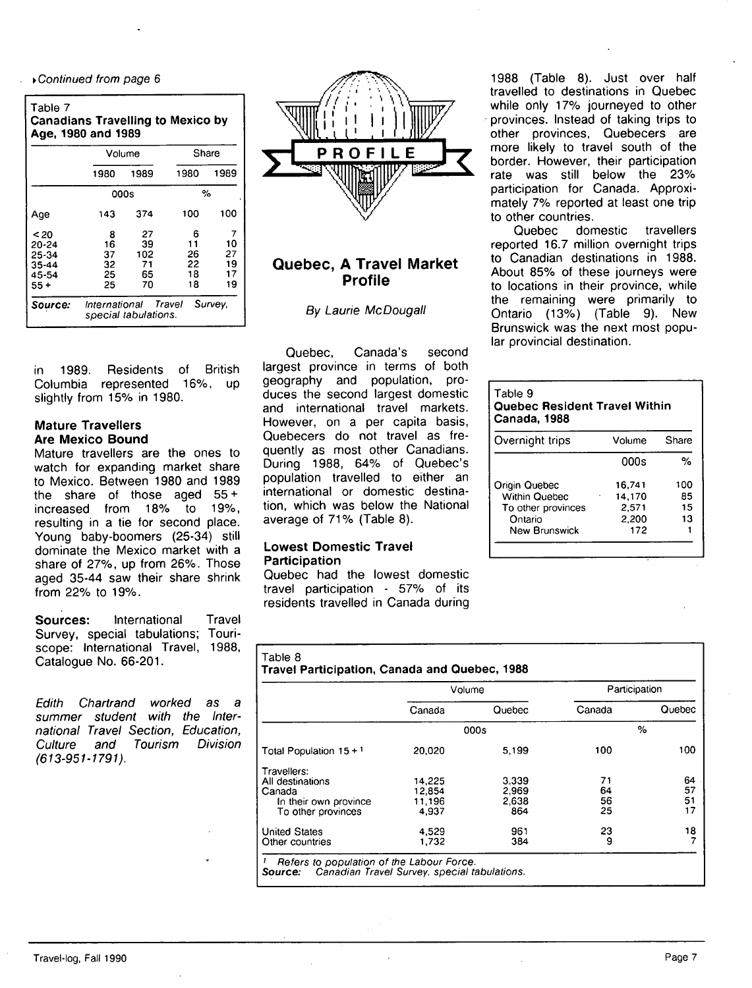• Continued from page 6

| Table 7<br><b>Canadians Travelling to Mexico by</b><br>Age, 1980 and 1989 |                                 |                                              |                                 |                                 |  |  |
|---------------------------------------------------------------------------|---------------------------------|----------------------------------------------|---------------------------------|---------------------------------|--|--|
|                                                                           |                                 | Volume                                       |                                 | Share                           |  |  |
|                                                                           | 1980                            | 1989                                         | 1980                            | 1989                            |  |  |
|                                                                           |                                 | 000s                                         |                                 | %                               |  |  |
| Age                                                                       | 143                             | 374                                          | 100                             | 100                             |  |  |
| < 20<br>20-24<br>25-34<br>$35 - 44$<br>45-54<br>55 +                      | 8<br>16<br>37<br>32<br>25<br>25 | 27<br>39<br>102<br>71<br>65<br>70            | 6<br>11<br>26<br>22<br>18<br>18 | 7<br>10<br>27<br>19<br>17<br>19 |  |  |
| Source:                                                                   |                                 | International Travel<br>special tabulations. |                                 | Survey,                         |  |  |

in 1989. Residents of British Columbia represented 16%, up slightly from 15% in 1980.

### **Mature Travellers Are Mexico Bound**

Mature travellers are the ones to watch for expanding market share to Mexico. Between 1980 and 1989 the share of those aged 55 + increased from 18% to 19%, resulting in a tie for second place. Young baby-boomers (25-34) still dominate the Mexico market with a share of 27%, up from 26%. Those aged 35-44 saw their share shrink from 22% to 19%.

**Sources:** International Travel Survey, special tabulations; Touriscope: International Travel, 1988, Catalogue No. 66-201.

Edith Chartrand worked as a summer student with the International Travel Section, Education, Culture and Tourism Division (613-951-1791).



# **Quebec, A Travel Market Profile**

By Laurie McDougall

Quebec, Canada's second largest province in terms of both geography and population, produces the second largest domestic and international travel markets. However, on a per capita basis, Quebecers do not travel as frequently as most other Canadians. During 1988, 64% of Quebec's population travelled to either an international or domestic destination, which was below the National average of 71% (Table 8).

# **Lowest Domestic Travel Participation**

Quebec had the lowest domestic travel participation - 57% of its residents travelled in Canada during

1988 (Table 8). Just over half travelled to destinations in Quebec while only 17% journeyed to other provinces. Instead of taking trips to other provinces, Quebecers are more likely to travel south of the border. However, their participation rate was still below the 23% participation for Canada. Approximately 7% reported at least one trip to other countries.

Quebec domestic travellers reported 16.7 million overnight trips to Canadian destinations in 1988. About 85% of these journeys were to locations in their province, while the remaining were primarily to Ontario (13%) (Table 9). New Brunswick was the next most popular provincial destination.

# Table 9 **Quebec Resident Travel Within Canada,1988**

| Overnight trips      | Volume | Share |
|----------------------|--------|-------|
|                      | 000s   | %     |
| Origin Quebec        | 16,741 | 100   |
| Within Quebec        | 14,170 | 85    |
| To other provinces   | 2,571  | 15    |
| Ontario              | 2,200  | 13    |
| <b>New Brunswick</b> | 172    |       |

|                           |        | Volume | Participation |        |
|---------------------------|--------|--------|---------------|--------|
|                           | Canada | Quebec | Canada        | Quebec |
|                           | 000s   |        |               | $\%$   |
| Total Population $15 + 1$ | 20,020 | 5.199  | 100           | 100    |
| Travellers:               |        |        |               |        |
| All destinations          | 14,225 | 3.339  | 71            | 64     |
| Canada                    | 12,854 | 2.969  | 64            | 57     |
| In their own province     | 11,196 | 2.638  | 56            | 51     |
| To other provinces        | 4,937  | 864    | 25            | 17     |
| <b>United States</b>      | 4.529  | 961    | 23            | 18     |
| Other countries           | 1.732  | 384    | 9             |        |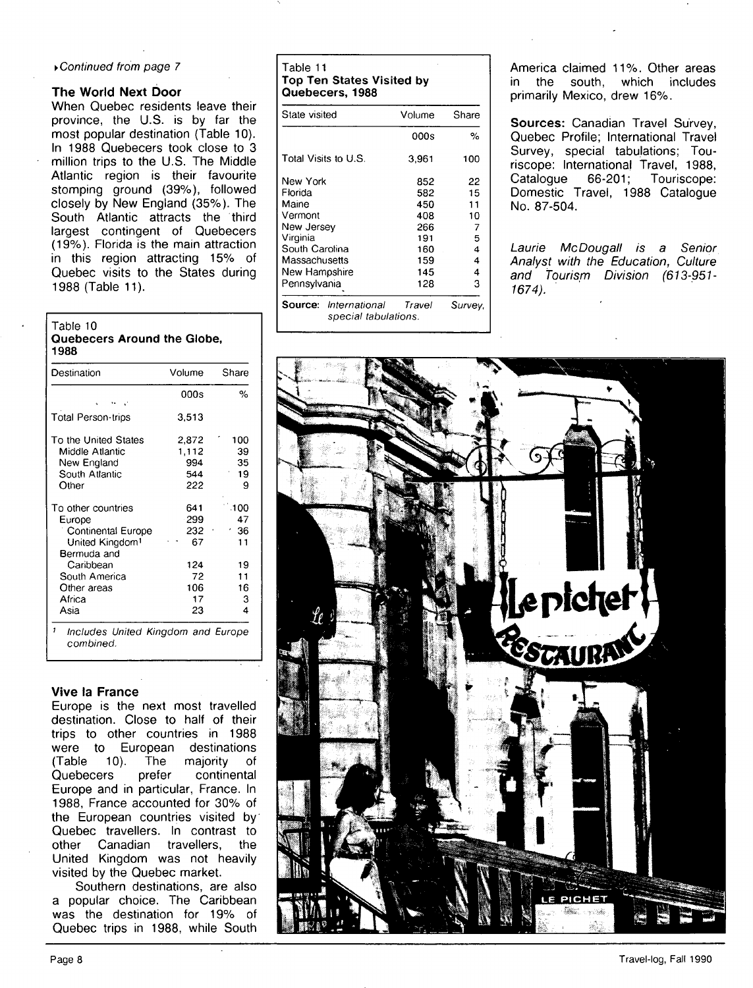### > Continued from page 7

### **The World Next Door**

When Quebec residents leave their province, the U.S. is by far the most popular destination (Table 10). In 1988 Quebecers took close to 3 million trips to the U.S. The Middle Atlantic region is their favourite stomping ground (39%), followed closely by New England (35%). The South Atlantic attracts the third largest contingent of Quebecers (19%). Florida is the main attraction in this region attracting 15% of Quebec visits to the States during 1988 (Table 11).

### Table 10 **Quebecers Around the Globe, 1988**

| 000s                                | %                          |
|-------------------------------------|----------------------------|
| 3.513                               |                            |
| 2,872<br>1,112<br>994<br>544<br>222 | 100<br>39<br>35<br>19<br>9 |
| 641<br>299<br>232<br>67             | .100<br>47<br>36<br>11     |
| 124<br>72<br>106<br>17<br>23        | 19<br>11<br>16<br>З<br>4   |
|                                     |                            |

### **Vive la France**

Europe is the next most travelled destination. Close to half of their trips to other countries in 1988 were to European destinations (Table 10). The majority of Quebecers prefer continental Europe and in particular, France. In 1988, France accounted for 30% of the European countries visited by Quebec travellers. In contrast to other Canadian travellers, the United Kingdom was not heavily visited by the Quebec market.

Southern destinations, are also a popular choice. The Caribbean was the destination for 19% of Quebec trips in 1988, while South

### Table 11 **Top Ten States Visited by Quebecers, 1988**

| State visited                                        | Volume | Share   |
|------------------------------------------------------|--------|---------|
|                                                      | 000s   | %       |
| Total Visits to U.S.                                 | 3,961  | 100     |
| New York                                             | 852    | 22      |
| Florida                                              | 582    | 15      |
| Maine                                                | 450    | 11      |
| Vermont                                              | 408    | 10      |
| New Jersev                                           | 266    | 7       |
| Virginia                                             | 191    | 5       |
| South Carolina                                       | 160    | 4       |
| Massachusetts                                        | 159    | 4       |
| New Hampshire                                        | 145    | 4       |
| Pennsylvania                                         | 128    | 3       |
| <b>Source:</b> International<br>special tabulations. | Travel | Survey, |

America claimed 11%. Other areas in the south, which includes primarily Mexico, drew 16%.

**Sources:** Canadian Travel Survey, Quebec Profile; International Travel Survey, special tabulations; Touriscope: International Travel, 1988, Catalogue 66-201; Touriscope: Domestic Travel, 1988 Catalogue No. 87-504.

Laurie McDougall is a Senior Analyst with the Education, Culture and Tourism Division (613-951- 1674).

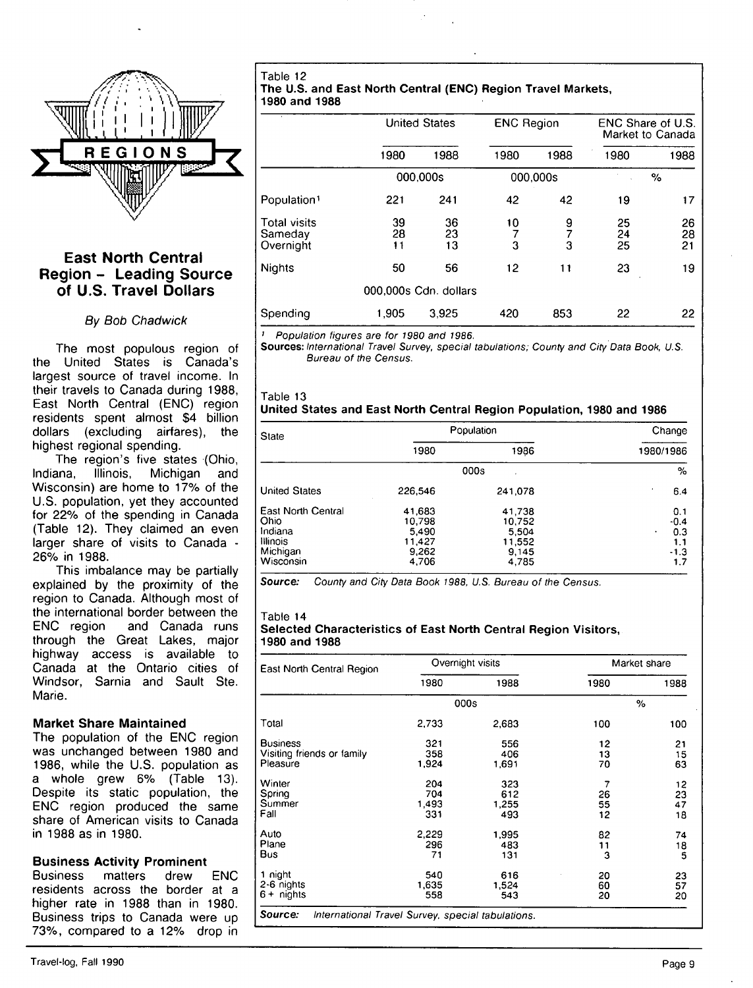

# **East North Central Region - Leading Source of U.S. Travel Dollars**

### By Bob Chadwick

The most populous region of the United States is Canada's largest source of travel income. In their travels to Canada during 1988, East North Central (ENC) region residents spent almost \$4 billion dollars (excluding airfares), the highest regional spending.

The region's five states (Ohio, Indiana, Illinois, Michigan and Wisconsin) are home to 17% of the U.S. population, yet they accounted for 22% of the spending in Canada (Table 12). They claimed an even larger share of visits to Canada - 26% in 1988.

This imbalance may be partially explained by the proximity of the region to Canada. Although most of the international border between the<br>ENC region and Canada runs and Canada runs through the Great Lakes, major highway access is available to Canada at the Qntario cities of Windsor, Sarnia and Sault Ste. Marie.

# **Market Share Maintained**

The population of the ENC region was unchanged between 1980 and 1986, while the U.S. population as a whole grew 6% (Table 13). Despite its static population, the ENC region produced the same share of American visits to Canada in 1988 as in 1980.

# **Business Activity Prominent**

Business matters drew ENC residents across the border at a higher rate in 1988 than in 1980. Business trips to Canada were up 73%, compared to a 12% drop in

Table 12 **The U.S. and East North Central (ENC) Region Travel Markets, 1980 and 1988** 

|                                             | <b>United States</b> |                       |         | <b>ENC Region</b> |                | ENC Share of U.S.<br>Market to Canada |  |
|---------------------------------------------|----------------------|-----------------------|---------|-------------------|----------------|---------------------------------------|--|
|                                             | 1980                 | 1988                  | 1980    | 1988              | 1980           | 1988                                  |  |
|                                             |                      | 000.000s              |         | 000,000s          |                | $\%$                                  |  |
| Population <sup>1</sup>                     | 221                  | 241                   | 42      | 42                | 19             | 17                                    |  |
| <b>Total visits</b><br>Sameday<br>Overnight | 39<br>28<br>11       | 36<br>23<br>13        | 10<br>3 | 9<br>3            | 25<br>24<br>25 | 26<br>28<br>21                        |  |
| <b>Nights</b>                               | 50                   | 56                    | 12      | 11                | 23             | 19                                    |  |
|                                             |                      | 000,000s Cdn. dollars |         |                   |                |                                       |  |
| Spending                                    | 1.905                | 3.925                 | 420     | 853               | 22             | 22                                    |  |

Population figures are for 1980 and 1986.

**Sources:** International Travel Survey, special tabulations: County and City Data Book, U.S. Bureau of the Census.

### Table 13 **United States and East North Central Region Population, 1980 and 1986**

| <b>State</b>                                                               | Population                                            |                                                       | Change                                            |  |
|----------------------------------------------------------------------------|-------------------------------------------------------|-------------------------------------------------------|---------------------------------------------------|--|
|                                                                            | 1980                                                  | 1986                                                  | 1980/1986                                         |  |
|                                                                            | 000s                                                  | %                                                     |                                                   |  |
| <b>United States</b>                                                       | 226,546                                               | 241,078                                               | 6.4                                               |  |
| East North Central<br>Ohio<br>Indiana<br>Illinois<br>Michigan<br>Wisconsin | 41,683<br>10,798<br>5,490<br>11,427<br>9,262<br>4,706 | 41,738<br>10.752<br>5.504<br>11,552<br>9,145<br>4,785 | 0.1<br>$-0.4$<br>0.3<br>۰<br>1.1<br>$-1.3$<br>1,7 |  |

**Source:** County and City Data Book 1988, U.S. Bureau of the Census.

### Table **14 Selected Characteristics of East North Central Region Visitors, 1980 and 1988**

| East North Central Region                                    | Overnight visits           |                            | Market share        |                      |
|--------------------------------------------------------------|----------------------------|----------------------------|---------------------|----------------------|
|                                                              | 1980                       | 1988                       | 1980                | 1988                 |
|                                                              | 000s                       |                            |                     | %                    |
| Total                                                        | 2,733                      | 2,683                      | 100                 | 100                  |
| <b>Business</b><br>Visiting friends or family<br>Pleasure    | 321<br>358<br>1,924        | 556<br>406<br>1.691        | 12<br>13<br>70      | 21<br>15<br>63       |
| Winter<br>Spring<br>Summer<br>Fall                           | 204<br>704<br>1,493<br>331 | 323<br>612<br>1.255<br>493 | 7<br>26<br>55<br>12 | 12<br>23<br>47<br>18 |
| Auto<br>Plane<br>Bus                                         | 2,229<br>296<br>71         | 1,995<br>483<br>131        | 82<br>11<br>3       | 74<br>18<br>5        |
| 1 night<br>2-6 nights<br>$6 +$ nights                        | 540<br>1,635<br>558        | 616<br>1,524<br>543        | 20<br>60<br>20      | 23<br>57<br>20       |
| Source:<br>International Travel Survey, special tabulations. |                            |                            |                     |                      |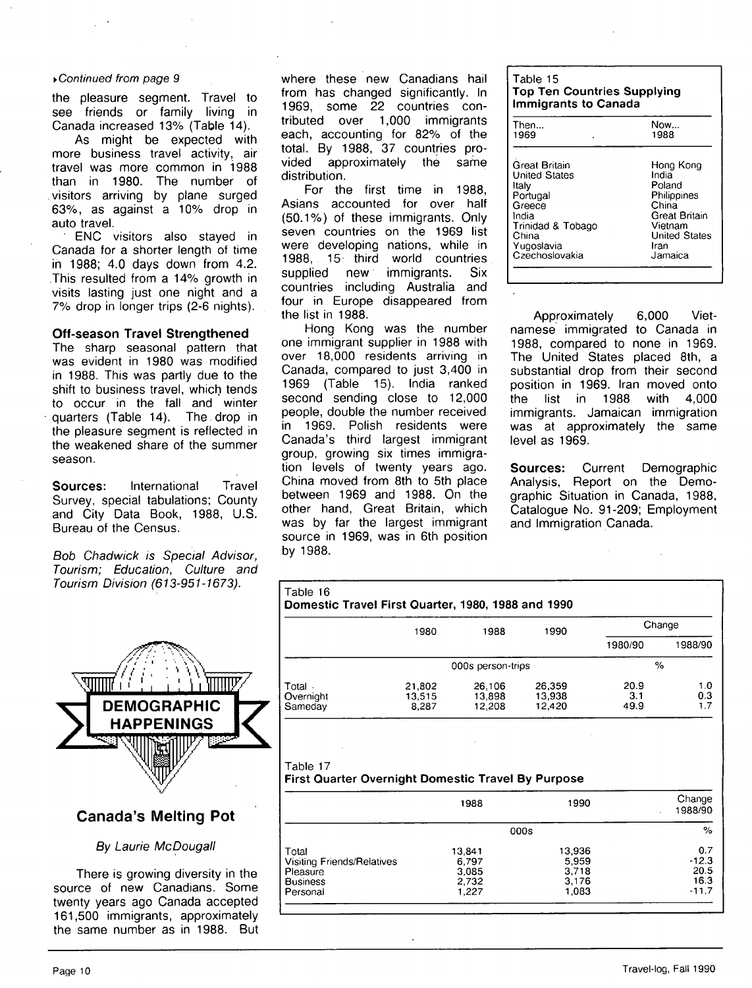### ▶ Continued from page 9

the pleasure segment. Travel to see friends or family living in Canada increased 13% (Table 14).

As might be expected with more business travel activity, air travel was more common in 1988 than in 1980. The number of visitors arriving by plane surged 63%, as against a 10% drop in auto travel.

ENC visitors also stayed in Canada for a shorter length of time in 1988; 4.0 days down from 4.2. This resulted from a 14% growth in visits lasting just one night and a 7% drop in longer trips (2-6 nights).

### **Off-season Travel Strengthened**

The sharp seasonal pattern that was evident in 1980 was modified in 1988. This was partly due to the shift to business travel, which tends to occur in the fall and winter quarters (Table 14). The drop in the pleasure segment is reflected in the weakened share of the summer season.

**Sources:** International Travel Survey, special tabulations; County and City Data Book, 1988, U.S. Bureau of the Census.

Bob Chadwick is Special Advisor, Tourism; Education, Culture and Tourism Division (613-951-1673).



# **Canada's Melting Pot**

# By Laurie McDougall

There is growing diversity in the source of new Canadians. Some twenty years ago Canada accepted 161,500 immigrants, approximately the same number as in 1988. But where these new Canadians hail from has changed significantly. In 1969, some 22 countries contributed over 1,000 immigrants each, accounting for 82% of the total. By 1988, 37 countries provided approximately the same distribution.

For the first time in 1988, Asians accounted for over half (50.1%) of these immigrants. Only seven countries on the 1969 list were developing nations, while in 1988, 15- third world countries supplied new immigrants. Six countries including Australia and four in Europe disappeared from the list in 1988.

Hong Kong was the number one immigrant supplier in 1988 with over 18,000 residents arriving in Canada, compared to just 3,400 in 1969 (Table 15). India ranked second sending close to 12,000 people, double the number received in 1969. Polish residents were Canada's third largest immigrant group, growing six times immigration levels of twenty years ago. China moved from 8th to 5th place between 1969 and 1988. On the other hand. Great Britain, which was by far the largest immigrant source in 1969, was in 6th position by 1988.

| l Table 15<br><b>Top Ten Countries Supplying</b><br><b>Immigrants to Canada</b> |           |  |  |
|---------------------------------------------------------------------------------|-----------|--|--|
| Then                                                                            | Now       |  |  |
| 1969<br>×                                                                       | 1988      |  |  |
| Great Britain                                                                   | Hong Kong |  |  |

| Great Britain        | Hong Kong            |
|----------------------|----------------------|
| <b>United States</b> | India                |
| Italy                | Poland               |
| Portugal             | Philippines          |
| Greece               | China                |
| India                | Great Britain        |
| Trinidad & Tobago    | Vietnam              |
| China                | <b>United States</b> |
| Yugoslavia           | Iran                 |
| Czechoslovakia       | Jamaica              |

Approximately 6,000 Vietnamese immigrated to Canada in 1988, compared to none in 1969. The United States placed 8th, a substantial drop from their second position in 1969. Iran moved onto the list in 1988 with 4,000 immigrants. Jamaican immigration was at approximately the same level as 1969.

**Sources:** Current Demographic Analysis, Report on the Demographic Situation in Canada, 1988, Catalogue No. 91-209; Employment and Immigration Canada.

| Table 16                       | Domestic Travel First Quarter, 1980, 1988 and 1990 |                            |                            |                     |                   |
|--------------------------------|----------------------------------------------------|----------------------------|----------------------------|---------------------|-------------------|
|                                | 1980                                               | 1988                       | 1990                       | Change              |                   |
|                                |                                                    |                            |                            | 1980/90             | 1988/90           |
|                                |                                                    | 000s person-trips          |                            | $\%$                |                   |
| Total.<br>Overnight<br>Sameday | 21,802<br>13.515<br>8.287                          | 26,106<br>13,898<br>12,208 | 26,359<br>13,938<br>12,420 | 20.9<br>3.1<br>49.9 | 1.0<br>0.3<br>1.7 |

#### Table 17 **First Quarter Overnight Domestic Travel By Purpose**

|                                                                    | 1988                              | 1990                              | Change<br>1988/90              |
|--------------------------------------------------------------------|-----------------------------------|-----------------------------------|--------------------------------|
|                                                                    | 000s                              | %                                 |                                |
| Total<br>Visiting Friends/Relatives<br>Pleasure<br><b>Business</b> | 13,841<br>6.797<br>3,085<br>2.732 | 13.936<br>5,959<br>3,718<br>3.176 | 0.7<br>$-12.3$<br>20.5<br>16.3 |
| Personal                                                           | 1,227                             | 1.083                             | $-11.7$                        |